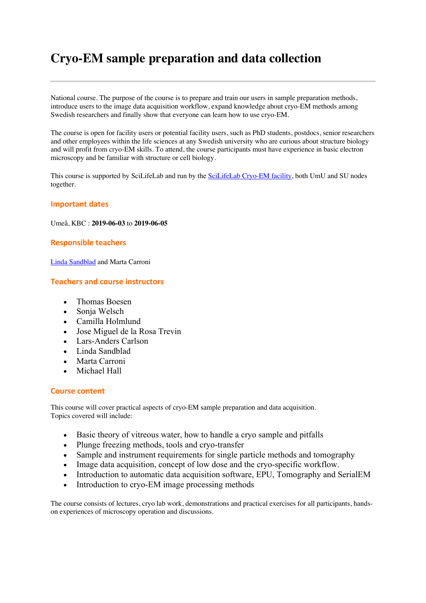# **Cryo-EM sample preparation and data collection**

National course. The purpose of the course is to prepare and train our users in sample preparation methods, introduce users to the image data acquisition workflow, expand knowledge about cryo-EM methods among Swedish researchers and finally show that everyone can learn how to use cryo-EM.

The course is open for facility users or potential facility users, such as PhD students, postdocs, senior researchers and other employees within the life sciences at any Swedish university who are curious about structure biology and will profit from cryo-EM skills. To attend, the course participants must have experience in basic electron microscopy and be familiar with structure or cell biology.

This course is supported by SciLifeLab and run by the SciLifeLab Cryo-EM facility, both UmU and SU nodes together.

#### **Important dates**

Umeå, KBC : **2019-06-03** to **2019-06-05**

#### **Responsible teachers**

Linda Sandblad and Marta Carroni

### **Teachers and course instructors**

- Thomas Boesen
- Sonja Welsch
- Camilla Holmlund
- Jose Miguel de la Rosa Trevin
- Lars-Anders Carlson
- Linda Sandblad
- Marta Carroni
- Michael Hall

#### **Course content**

This course will cover practical aspects of cryo-EM sample preparation and data acquisition. Topics covered will include:

- Basic theory of vitreous water, how to handle a cryo sample and pitfalls
- Plunge freezing methods, tools and cryo-transfer
- Sample and instrument requirements for single particle methods and tomography
- Image data acquisition, concept of low dose and the cryo-specific workflow.
- Introduction to automatic data acquisition software, EPU, Tomography and SerialEM
- Introduction to cryo-EM image processing methods

The course consists of lectures, cryo lab work, demonstrations and practical exercises for all participants, handson experiences of microscopy operation and discussions.